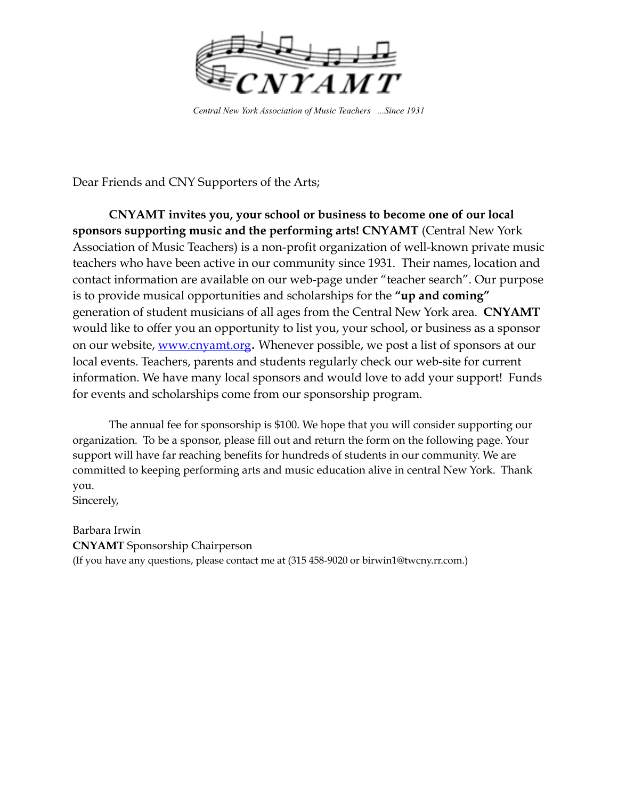

Central New York Association of Music Teachers ... Since 1931

Dear Friends and CNY Supporters of the Arts;

CNYAMT invites you, your school or business to become one of our local sponsors supporting music and the performing arts! CNYAMT (Central New York Association of Music Teachers) is a non-profit organization of well-known private music teachers who have been active in our community since 1931. Their names, location and contact information are available on our web-page under "teacher search". Our purpose is to provide musical opportunities and scholarships for the "up and coming" generation of student musicians of all ages from the Central New York area. CNYAMT would like to offer you an opportunity to list you, your school, or business as a sponsor on our website, www.cnyamt.org. Whenever possible, we post a list of sponsors at our local events. Teachers, parents and students regularly check our web-site for current information. We have many local sponsors and would love to add your support! Funds for events and scholarships come from our sponsorship program.

The annual fee for sponsorship is \$100. We hope that you will consider supporting our organization. To be a sponsor, please fill out and return the form on the following page. Your support will have far reaching benefits for hundreds of students in our community. We are committed to keeping performing arts and music education alive in central New York. Thank you.

Sincerely,

Barbara Irwin **CNYAMT** Sponsorship Chairperson (If you have any questions, please contact me at (315 458-9020 or birwin1@twcny.rr.com.)